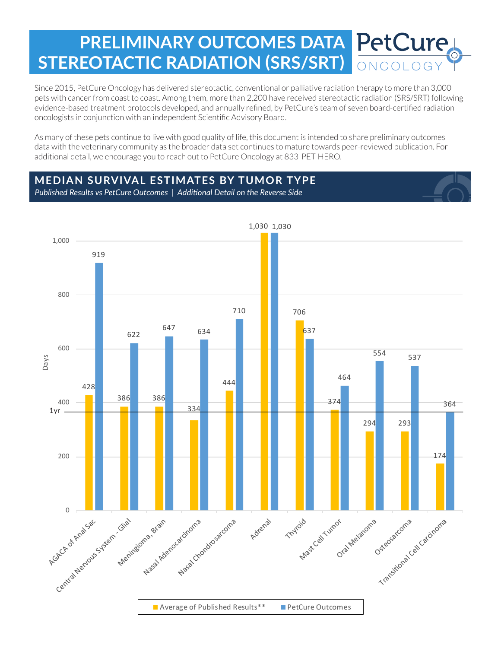# **PRELIMINARY OUTCOMES DATA PetCure STEREOTACTIC RADIATION (SRS/SRT)** ONCOLOG

Since 2015, PetCure Oncology has delivered stereotactic, conventional or palliative radiation therapy to more than 3,000 pets with cancer from coast to coast. Among them, more than 2,200 have received stereotactic radiation (SRS/SRT) following evidence-based treatment protocols developed, and annually refined, by PetCure's team of seven board-certified radiation oncologists in conjunction with an independent Scientific Advisory Board.

As many of these pets continue to live with good quality of life, this document is intended to share preliminary outcomes data with the veterinary community as the broader data set continues to mature towards peer-reviewed publication. For additional detail, we encourage you to reach out to PetCure Oncology at 833-PET-HERO.

## **MEDIAN SURVIVAL ESTIMATES BY TUMOR TYPE**

*Published Results vs PetCure Outcomes | Additional Detail on the Reverse Side*